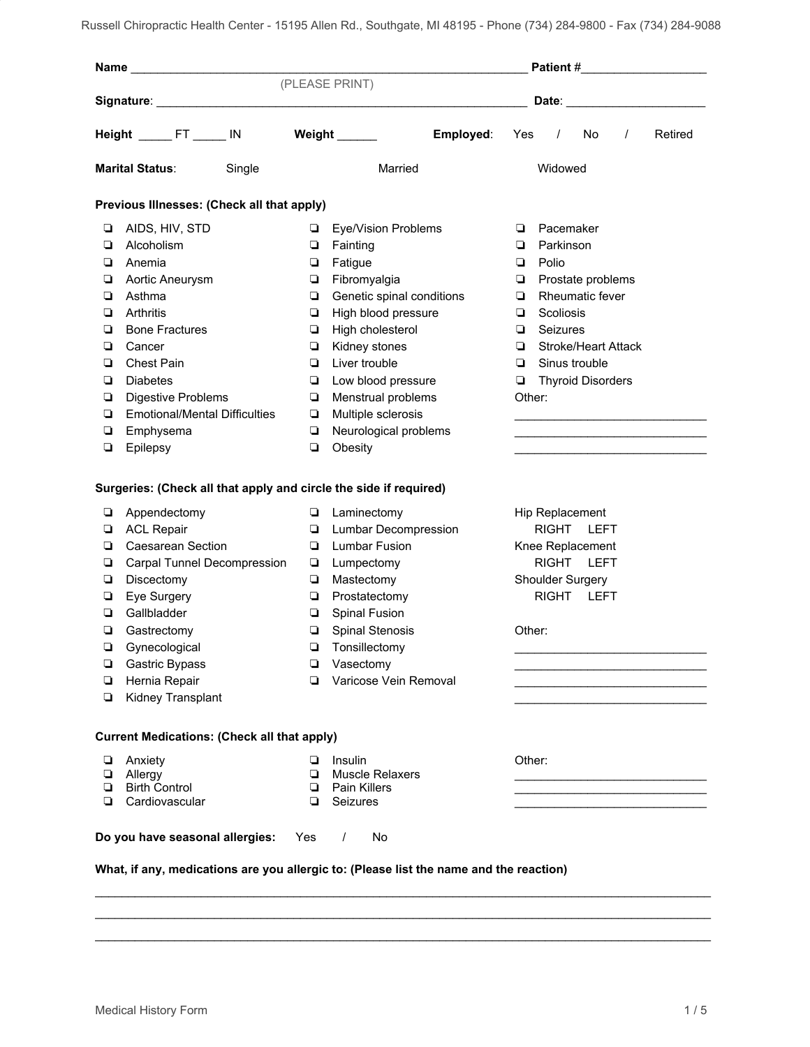|                                  |                                                                                                                                                                                                                                           |  |                            |                                                                                         |           |                                                                                   |                                                                                                                                                            |                                      |          | Patient #_____________________                                                            |  |  |  |
|----------------------------------|-------------------------------------------------------------------------------------------------------------------------------------------------------------------------------------------------------------------------------------------|--|----------------------------|-----------------------------------------------------------------------------------------|-----------|-----------------------------------------------------------------------------------|------------------------------------------------------------------------------------------------------------------------------------------------------------|--------------------------------------|----------|-------------------------------------------------------------------------------------------|--|--|--|
|                                  |                                                                                                                                                                                                                                           |  |                            | (PLEASE PRINT)                                                                          |           |                                                                                   |                                                                                                                                                            |                                      |          |                                                                                           |  |  |  |
|                                  |                                                                                                                                                                                                                                           |  |                            |                                                                                         |           |                                                                                   |                                                                                                                                                            |                                      |          | Date: _______________________                                                             |  |  |  |
| Height ______ FT ______ IN       |                                                                                                                                                                                                                                           |  |                            | Weight $\_\_$                                                                           | Employed: | Yes                                                                               | $\prime$                                                                                                                                                   | No                                   | $\prime$ | Retired                                                                                   |  |  |  |
| <b>Marital Status:</b><br>Single |                                                                                                                                                                                                                                           |  |                            | Married                                                                                 |           |                                                                                   | Widowed                                                                                                                                                    |                                      |          |                                                                                           |  |  |  |
|                                  | Previous Illnesses: (Check all that apply)                                                                                                                                                                                                |  |                            |                                                                                         |           |                                                                                   |                                                                                                                                                            |                                      |          |                                                                                           |  |  |  |
| □<br>❏<br>❏                      | AIDS, HIV, STD<br>Alcoholism<br>Anemia                                                                                                                                                                                                    |  | □<br>▫<br>▫                | Eye/Vision Problems<br>Fainting<br>Fatigue                                              |           | ❏                                                                                 | Pacemaker<br>Parkinson                                                                                                                                     |                                      |          |                                                                                           |  |  |  |
| ▫<br>❏<br>❏                      | Aortic Aneurysm<br>Asthma<br>Arthritis                                                                                                                                                                                                    |  | $\Box$<br>$\Box$<br>❏      | Fibromyalgia<br>Genetic spinal conditions<br>High blood pressure                        |           | ❏<br>❏<br>▫                                                                       | Polio<br>Scoliosis                                                                                                                                         | Prostate problems<br>Rheumatic fever |          |                                                                                           |  |  |  |
| ❏<br>❏<br>❏                      | <b>Bone Fractures</b><br>Cancer<br><b>Chest Pain</b>                                                                                                                                                                                      |  | $\Box$<br>▫<br>$\Box$<br>❏ | High cholesterol<br>Kidney stones<br>Liver trouble                                      |           | ❏                                                                                 | Seizures<br><b>Stroke/Heart Attack</b><br>Sinus trouble                                                                                                    |                                      |          |                                                                                           |  |  |  |
| ❏<br>o<br>❏<br>o                 | <b>Diabetes</b><br>Digestive Problems<br><b>Emotional/Mental Difficulties</b><br>Emphysema                                                                                                                                                |  |                            | Low blood pressure<br>Menstrual problems<br>Multiple sclerosis<br>Neurological problems |           |                                                                                   | <b>Thyroid Disorders</b><br>Other:<br><u> 1989 - Johann Barbara, martin amerikan basar dan berasal dalam basa dalam basar dalam basar dalam basar dala</u> |                                      |          |                                                                                           |  |  |  |
| o                                | Epilepsy                                                                                                                                                                                                                                  |  | ❏                          | Obesity                                                                                 |           |                                                                                   |                                                                                                                                                            |                                      |          |                                                                                           |  |  |  |
|                                  | Surgeries: (Check all that apply and circle the side if required)                                                                                                                                                                         |  |                            |                                                                                         |           |                                                                                   |                                                                                                                                                            |                                      |          |                                                                                           |  |  |  |
| ▫<br>$\Box$<br>❏                 | Appendectomy<br><b>ACL Repair</b><br><b>Caesarean Section</b><br>O.<br>Carpal Tunnel Decompression<br>$\Box$<br>Discectomy<br>Eye Surgery<br>$\Box$<br>Gallbladder<br>❏<br>Gastrectomy<br>o<br>Q.<br>Gynecological<br>Gastric Bypass<br>❏ |  |                            | Laminectomy<br>□<br><b>Lumbar Decompression</b><br><b>Lumbar Fusion</b><br>Lumpectomy   |           |                                                                                   | Hip Replacement<br>RIGHT LEFT<br>Knee Replacement<br>RIGHT LEFT                                                                                            |                                      |          |                                                                                           |  |  |  |
|                                  |                                                                                                                                                                                                                                           |  |                            | Mastectomy<br>Prostatectomy<br>Spinal Fusion                                            |           |                                                                                   | Shoulder Surgery<br><b>LEFT</b><br><b>RIGHT</b>                                                                                                            |                                      |          |                                                                                           |  |  |  |
|                                  |                                                                                                                                                                                                                                           |  |                            | <b>Spinal Stenosis</b><br>Tonsillectomy<br>Vasectomy<br>Varicose Vein Removal           |           | Other:<br><u> 1989 - Johann Barn, fransk politik amerikansk politik (d. 1989)</u> |                                                                                                                                                            |                                      |          |                                                                                           |  |  |  |
| ❏<br>$\Box$                      | Hernia Repair<br>Kidney Transplant                                                                                                                                                                                                        |  | ❏                          |                                                                                         |           |                                                                                   |                                                                                                                                                            |                                      |          | the control of the control of the control of the control of the control of the control of |  |  |  |
|                                  | <b>Current Medications: (Check all that apply)</b>                                                                                                                                                                                        |  |                            |                                                                                         |           |                                                                                   |                                                                                                                                                            |                                      |          |                                                                                           |  |  |  |
| Anxiety<br>❏<br>Allergy<br>❏     |                                                                                                                                                                                                                                           |  | ▫<br>▫                     | Insulin<br><b>Muscle Relaxers</b>                                                       |           | Other:                                                                            |                                                                                                                                                            |                                      |          |                                                                                           |  |  |  |
| ❏<br>o                           | <b>Birth Control</b><br>Cardiovascular                                                                                                                                                                                                    |  |                            | <b>Pain Killers</b><br>Seizures                                                         |           |                                                                                   |                                                                                                                                                            |                                      |          |                                                                                           |  |  |  |
|                                  | Do you have seasonal allergies:                                                                                                                                                                                                           |  | Yes                        | No<br>$\sqrt{2}$                                                                        |           |                                                                                   |                                                                                                                                                            |                                      |          |                                                                                           |  |  |  |
|                                  | What, if any, medications are you allergic to: (Please list the name and the reaction)                                                                                                                                                    |  |                            |                                                                                         |           |                                                                                   |                                                                                                                                                            |                                      |          |                                                                                           |  |  |  |

\_\_\_\_\_\_\_\_\_\_\_\_\_\_\_\_\_\_\_\_\_\_\_\_\_\_\_\_\_\_\_\_\_\_\_\_\_\_\_\_\_\_\_\_\_\_\_\_\_\_\_\_\_\_\_\_\_\_\_\_\_\_\_\_\_\_\_\_\_\_\_\_\_\_\_\_\_\_\_\_\_\_\_\_\_\_\_\_\_\_\_\_\_ \_\_\_\_\_\_\_\_\_\_\_\_\_\_\_\_\_\_\_\_\_\_\_\_\_\_\_\_\_\_\_\_\_\_\_\_\_\_\_\_\_\_\_\_\_\_\_\_\_\_\_\_\_\_\_\_\_\_\_\_\_\_\_\_\_\_\_\_\_\_\_\_\_\_\_\_\_\_\_\_\_\_\_\_\_\_\_\_\_\_\_\_\_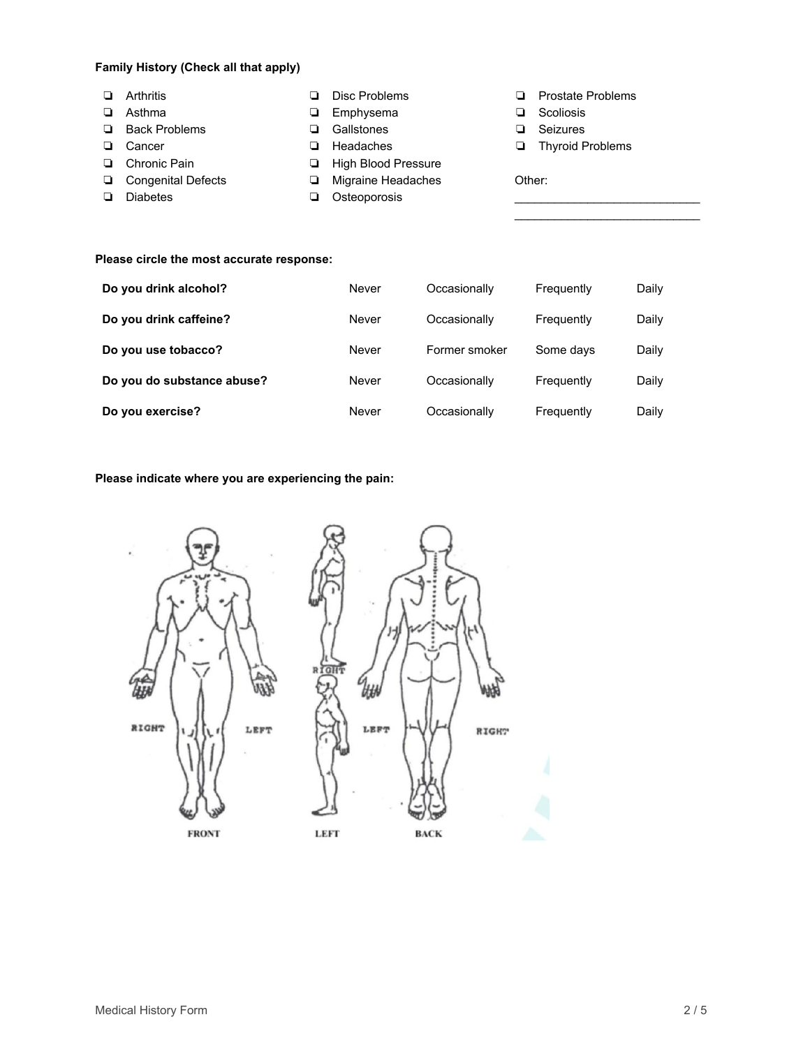### **Family History (Check all that apply)**

❏ Arthritis ❏ Asthma ❏ Back Problems ❏ Cancer ❏ Chronic Pain ❏ Congenital Defects ❏ Diabetes ❏ Disc Problems ❏ Emphysema ❏ Gallstones ❏ Headaches ❏ High Blood Pressure ❏ Migraine Headaches ❏ Osteoporosis ❏ Prostate Problems ❏ Scoliosis ❏ Seizures ❏ Thyroid Problems Other:  $\mathcal{L}_\text{max}$  , where  $\mathcal{L}_\text{max}$  and  $\mathcal{L}_\text{max}$ 

 $\mathcal{L}_\text{max}$  , where  $\mathcal{L}_\text{max}$  and  $\mathcal{L}_\text{max}$ 

#### **Please circle the most accurate response:**

| Do you drink alcohol?      | Never | Occasionally  | Frequently | Daily |
|----------------------------|-------|---------------|------------|-------|
| Do you drink caffeine?     | Never | Occasionally  | Frequently | Daily |
| Do you use tobacco?        | Never | Former smoker | Some days  | Daily |
| Do you do substance abuse? | Never | Occasionally  | Frequently | Daily |
| Do you exercise?           | Never | Occasionally  | Frequently | Daily |

#### **Please indicate where you are experiencing the pain:**

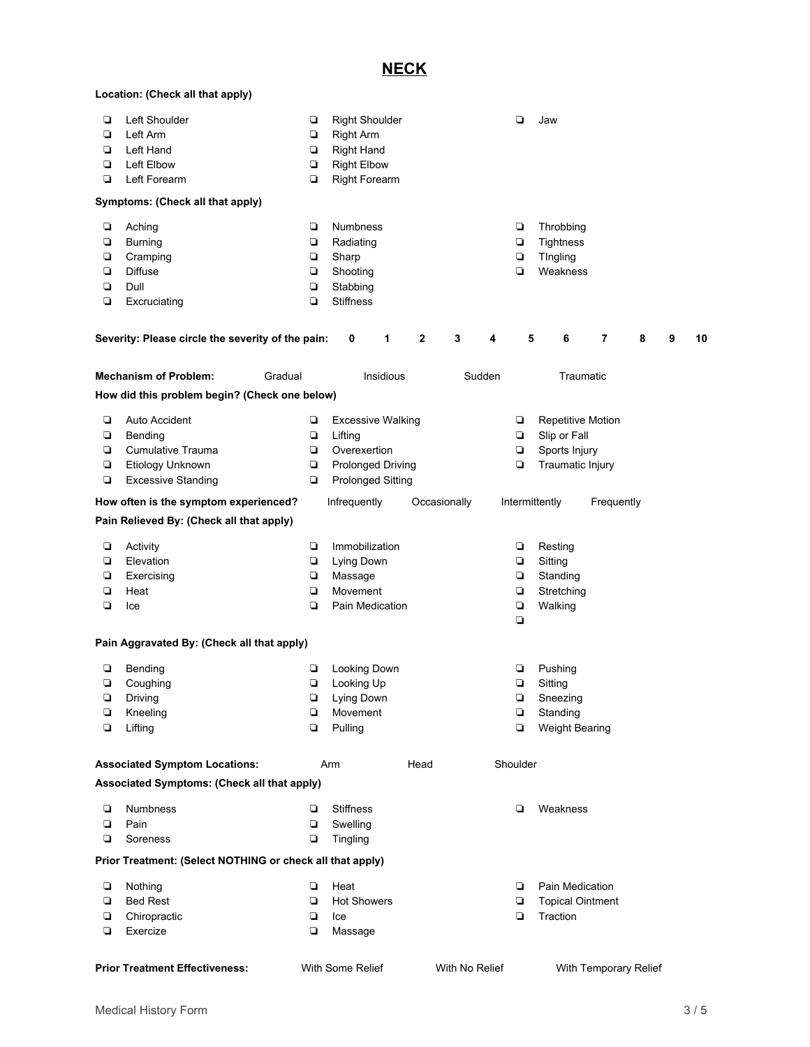## **NECK**

|        | Location: (Check all that apply)                          |        |                              |              |                |          |        |                         |                       |   |   |    |
|--------|-----------------------------------------------------------|--------|------------------------------|--------------|----------------|----------|--------|-------------------------|-----------------------|---|---|----|
| Q      | Left Shoulder                                             | ❏      | <b>Right Shoulder</b>        |              |                |          | ◘      | Jaw                     |                       |   |   |    |
| Q      | Left Arm                                                  | o      | <b>Right Arm</b>             |              |                |          |        |                         |                       |   |   |    |
| ❏      | Left Hand                                                 | o      | <b>Right Hand</b>            |              |                |          |        |                         |                       |   |   |    |
| $\Box$ | Left Elbow                                                | O      | <b>Right Elbow</b>           |              |                |          |        |                         |                       |   |   |    |
| Q      | Left Forearm                                              | Q      | <b>Right Forearm</b>         |              |                |          |        |                         |                       |   |   |    |
|        |                                                           |        |                              |              |                |          |        |                         |                       |   |   |    |
|        | Symptoms: (Check all that apply)                          |        |                              |              |                |          |        |                         |                       |   |   |    |
| o      | Aching                                                    | ❏      | Numbness                     |              |                |          | o      | Throbbing               |                       |   |   |    |
| Q      | <b>Burning</b>                                            | Q      | Radiating                    |              |                |          | Q      | <b>Tightness</b>        |                       |   |   |    |
| o      | Cramping                                                  | o      | Sharp                        |              |                |          | $\Box$ | TIngling                |                       |   |   |    |
| О      | Diffuse                                                   | $\Box$ |                              |              |                |          | Q      | Weakness                |                       |   |   |    |
|        | Dull                                                      |        | Shooting                     |              |                |          |        |                         |                       |   |   |    |
| o<br>О |                                                           | ❏<br>Q | Stabbing<br><b>Stiffness</b> |              |                |          |        |                         |                       |   |   |    |
|        | Excruciating                                              |        |                              |              |                |          |        |                         |                       |   |   |    |
|        | Severity: Please circle the severity of the pain:         |        | 0<br>1                       | $\mathbf 2$  | 3              | 4        | 5      | 6                       | 7                     | 8 | 9 | 10 |
|        | <b>Mechanism of Problem:</b><br>Gradual                   |        | Insidious                    |              | Sudden         |          |        | Traumatic               |                       |   |   |    |
|        | How did this problem begin? (Check one below)             |        |                              |              |                |          |        |                         |                       |   |   |    |
|        | Auto Accident                                             |        |                              |              |                |          |        |                         |                       |   |   |    |
| Q      |                                                           | ❏      | <b>Excessive Walking</b>     |              |                |          | ❏      | Repetitive Motion       |                       |   |   |    |
| о      | Bending                                                   | о      | Lifting                      |              |                |          | $\Box$ | Slip or Fall            |                       |   |   |    |
| Q      | Cumulative Trauma                                         | o      | Overexertion                 |              |                |          | Q      | Sports Injury           |                       |   |   |    |
| О      | Etiology Unknown                                          | o      | <b>Prolonged Driving</b>     |              |                |          | Q      | Traumatic Injury        |                       |   |   |    |
| Q      | <b>Excessive Standing</b>                                 | ❏      | <b>Prolonged Sitting</b>     |              |                |          |        |                         |                       |   |   |    |
|        | How often is the symptom experienced?                     |        | Infrequently                 | Occasionally |                |          |        | Intermittently          | Frequently            |   |   |    |
|        | Pain Relieved By: (Check all that apply)                  |        |                              |              |                |          |        |                         |                       |   |   |    |
| ❏      | Activity                                                  | o      | Immobilization               |              |                |          | o      | Resting                 |                       |   |   |    |
| $\Box$ | Elevation                                                 | $\Box$ | Lying Down                   |              |                |          | O      | Sitting                 |                       |   |   |    |
| Q      | Exercising                                                | o      | Massage                      |              |                |          | $\Box$ | Standing                |                       |   |   |    |
| ❏      | Heat                                                      | ◘      | Movement                     |              |                |          | $\Box$ | Stretching              |                       |   |   |    |
| О      | Ice                                                       | ❏      | Pain Medication              |              |                |          | O      | Walking                 |                       |   |   |    |
|        |                                                           |        |                              |              |                |          | Q      |                         |                       |   |   |    |
|        | Pain Aggravated By: (Check all that apply)                |        |                              |              |                |          |        |                         |                       |   |   |    |
| ❏      | Bending                                                   | ❏      | Looking Down                 |              |                |          | ❏      | Pushing                 |                       |   |   |    |
| ⊔      | Coughing                                                  | ⊔      | Looking Up                   |              |                |          | ⊔      | Sitting                 |                       |   |   |    |
| Q      | Driving                                                   | ❏      | Lying Down                   |              |                |          | Q      | Sneezing                |                       |   |   |    |
| $\Box$ | Kneeling                                                  | Q      | Movement                     |              |                |          | $\Box$ | Standing                |                       |   |   |    |
| О      | Lifting                                                   | Q      | Pulling                      |              |                |          | Q      | Weight Bearing          |                       |   |   |    |
|        |                                                           |        |                              |              |                |          |        |                         |                       |   |   |    |
|        | <b>Associated Symptom Locations:</b>                      |        | Arm                          | Head         |                | Shoulder |        |                         |                       |   |   |    |
|        | Associated Symptoms: (Check all that apply)               |        |                              |              |                |          |        |                         |                       |   |   |    |
| ❏      | <b>Numbness</b>                                           | ▫      | <b>Stiffness</b>             |              |                |          | ▫      | Weakness                |                       |   |   |    |
| O      | Pain                                                      | $\Box$ | Swelling                     |              |                |          |        |                         |                       |   |   |    |
| Q      | Soreness                                                  | $\Box$ | Tingling                     |              |                |          |        |                         |                       |   |   |    |
|        | Prior Treatment: (Select NOTHING or check all that apply) |        |                              |              |                |          |        |                         |                       |   |   |    |
|        |                                                           |        |                              |              |                |          |        |                         |                       |   |   |    |
| o      | Nothing                                                   | ❏      | Heat                         |              |                |          | Q      | Pain Medication         |                       |   |   |    |
| Q      | <b>Bed Rest</b>                                           | Q      | <b>Hot Showers</b>           |              |                |          | Q      | <b>Topical Ointment</b> |                       |   |   |    |
| Q      | Chiropractic                                              | Q      | Ice                          |              |                |          | Q      | Traction                |                       |   |   |    |
| o      | Exercize                                                  | o      | Massage                      |              |                |          |        |                         |                       |   |   |    |
|        |                                                           |        |                              |              |                |          |        |                         |                       |   |   |    |
|        | <b>Prior Treatment Effectiveness:</b>                     |        | With Some Relief             |              | With No Relief |          |        |                         | With Temporary Relief |   |   |    |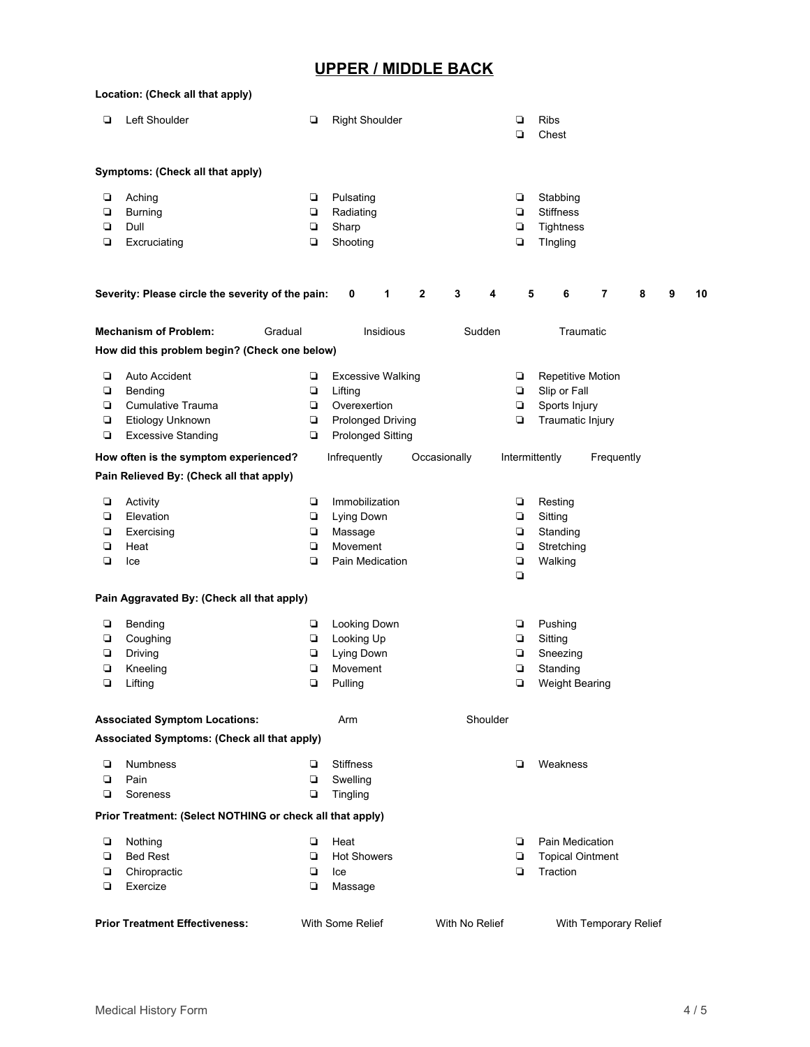# **UPPER / MIDDLE BACK**

|                                                                             | Location: (Check all that apply)                          |        |                          |              |                |        |                         |                       |   |   |    |
|-----------------------------------------------------------------------------|-----------------------------------------------------------|--------|--------------------------|--------------|----------------|--------|-------------------------|-----------------------|---|---|----|
| ❏                                                                           | Left Shoulder                                             | ❏      | <b>Right Shoulder</b>    |              |                | ▫<br>◘ | <b>Ribs</b><br>Chest    |                       |   |   |    |
|                                                                             | Symptoms: (Check all that apply)                          |        |                          |              |                |        |                         |                       |   |   |    |
| o                                                                           | Aching                                                    | o      | Pulsating                |              |                | o      | Stabbing                |                       |   |   |    |
| $\Box$                                                                      | <b>Burning</b>                                            | ❏      | Radiating                |              |                | Q      | <b>Stiffness</b>        |                       |   |   |    |
| Q                                                                           | Dull                                                      | ❏      | Sharp                    |              |                | Q      | <b>Tightness</b>        |                       |   |   |    |
| Q                                                                           | Excruciating                                              | Q      | Shooting                 |              |                | Q      | TIngling                |                       |   |   |    |
|                                                                             | Severity: Please circle the severity of the pain:         |        | 1<br>0                   | $\mathbf{2}$ | 3<br>4         | 5      | 6                       | 7                     | 8 | 9 | 10 |
|                                                                             |                                                           |        |                          |              |                |        |                         |                       |   |   |    |
| <b>Mechanism of Problem:</b><br>Gradual<br>Insidious<br>Sudden<br>Traumatic |                                                           |        |                          |              |                |        |                         |                       |   |   |    |
|                                                                             | How did this problem begin? (Check one below)             |        |                          |              |                |        |                         |                       |   |   |    |
| ❏                                                                           | Auto Accident                                             | ❏      | <b>Excessive Walking</b> |              |                | ❏      | Repetitive Motion       |                       |   |   |    |
| $\Box$                                                                      | Bending                                                   | ❏      | Lifting                  |              |                | Q      | Slip or Fall            |                       |   |   |    |
| Q                                                                           | <b>Cumulative Trauma</b>                                  | ❏      | Overexertion             |              |                | Q      | Sports Injury           |                       |   |   |    |
| Q                                                                           | Etiology Unknown                                          | o      | Prolonged Driving        |              |                | Q      | Traumatic Injury        |                       |   |   |    |
| $\Box$                                                                      | <b>Excessive Standing</b>                                 | o      | <b>Prolonged Sitting</b> |              |                |        |                         |                       |   |   |    |
|                                                                             | How often is the symptom experienced?                     |        | Infrequently             | Occasionally |                |        | Intermittently          | Frequently            |   |   |    |
|                                                                             | Pain Relieved By: (Check all that apply)                  |        |                          |              |                |        |                         |                       |   |   |    |
| о                                                                           | Activity                                                  | ❏      | Immobilization           |              |                | ❏      | Resting                 |                       |   |   |    |
| ❏                                                                           | Elevation                                                 | о      | Lying Down               |              |                | ❏      | Sitting                 |                       |   |   |    |
| Q                                                                           | Exercising                                                | o      | Massage                  |              |                | Q      | Standing                |                       |   |   |    |
| $\Box$                                                                      | Heat                                                      | $\Box$ | Movement                 |              |                | $\Box$ | Stretching              |                       |   |   |    |
| Q                                                                           | Ice                                                       | Q      | Pain Medication          |              |                | $\Box$ | Walking                 |                       |   |   |    |
|                                                                             | Pain Aggravated By: (Check all that apply)                |        |                          |              |                | Q      |                         |                       |   |   |    |
|                                                                             |                                                           |        |                          |              |                |        |                         |                       |   |   |    |
| о                                                                           | Bending                                                   | о      | Looking Down             |              |                | o      | Pushing                 |                       |   |   |    |
| Q                                                                           | Coughing                                                  | ❏      | Looking Up               |              |                | Q      | Sitting                 |                       |   |   |    |
| О                                                                           | Driving                                                   | о      | Lying Down               |              |                | Q      | Sneezing                |                       |   |   |    |
| Q                                                                           | Kneeling                                                  | ❏      | Movement                 |              |                | Q      | Standing                |                       |   |   |    |
| ⊔                                                                           | Lifting                                                   | ⊔      | Pulling                  |              |                |        | <b>Weight Bearing</b>   |                       |   |   |    |
|                                                                             | <b>Associated Symptom Locations:</b>                      |        | Arm                      |              | Shoulder       |        |                         |                       |   |   |    |
|                                                                             | Associated Symptoms: (Check all that apply)               |        |                          |              |                |        |                         |                       |   |   |    |
| ❏                                                                           | <b>Numbness</b>                                           | ❏      | <b>Stiffness</b>         |              |                | ◘      | Weakness                |                       |   |   |    |
| Q                                                                           | Pain                                                      | Q      | Swelling                 |              |                |        |                         |                       |   |   |    |
| Q                                                                           | Soreness                                                  | ❏      | Tingling                 |              |                |        |                         |                       |   |   |    |
|                                                                             | Prior Treatment: (Select NOTHING or check all that apply) |        |                          |              |                |        |                         |                       |   |   |    |
| ❏                                                                           |                                                           | о      | Heat                     |              |                | ▫      | Pain Medication         |                       |   |   |    |
| Q                                                                           | Nothing<br><b>Bed Rest</b>                                | ◘      | <b>Hot Showers</b>       |              |                | Q      | <b>Topical Ointment</b> |                       |   |   |    |
| O                                                                           | Chiropractic                                              | O      | Ice                      |              |                | Q      | Traction                |                       |   |   |    |
| Q                                                                           | Exercize                                                  | О      | Massage                  |              |                |        |                         |                       |   |   |    |
|                                                                             |                                                           |        |                          |              |                |        |                         |                       |   |   |    |
|                                                                             | <b>Prior Treatment Effectiveness:</b>                     |        | With Some Relief         |              | With No Relief |        |                         | With Temporary Relief |   |   |    |